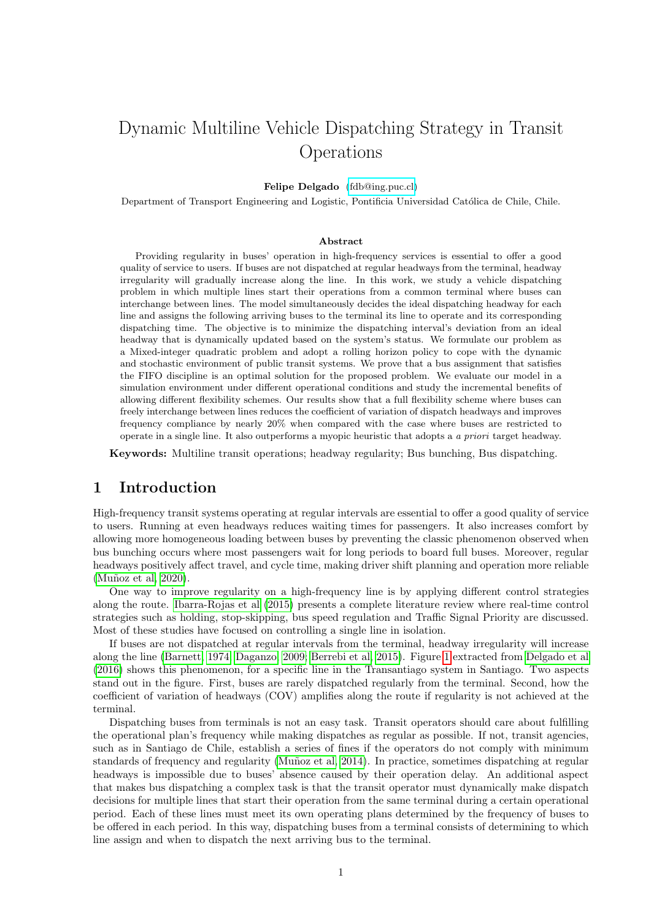# Dynamic Multiline Vehicle Dispatching Strategy in Transit Operations

### Felipe Delgado [\(fdb@ing.puc.cl\)](mailto:fdb@ing.puc.cl)

Department of Transport Engineering and Logistic, Pontificia Universidad Católica de Chile, Chile.

#### Abstract

Providing regularity in buses' operation in high-frequency services is essential to offer a good quality of service to users. If buses are not dispatched at regular headways from the terminal, headway irregularity will gradually increase along the line. In this work, we study a vehicle dispatching problem in which multiple lines start their operations from a common terminal where buses can interchange between lines. The model simultaneously decides the ideal dispatching headway for each line and assigns the following arriving buses to the terminal its line to operate and its corresponding dispatching time. The objective is to minimize the dispatching interval's deviation from an ideal headway that is dynamically updated based on the system's status. We formulate our problem as a Mixed-integer quadratic problem and adopt a rolling horizon policy to cope with the dynamic and stochastic environment of public transit systems. We prove that a bus assignment that satisfies the FIFO discipline is an optimal solution for the proposed problem. We evaluate our model in a simulation environment under different operational conditions and study the incremental benefits of allowing different flexibility schemes. Our results show that a full flexibility scheme where buses can freely interchange between lines reduces the coefficient of variation of dispatch headways and improves frequency compliance by nearly 20% when compared with the case where buses are restricted to operate in a single line. It also outperforms a myopic heuristic that adopts a a priori target headway.

Keywords: Multiline transit operations; headway regularity; Bus bunching, Bus dispatching.

## 1 Introduction

High-frequency transit systems operating at regular intervals are essential to offer a good quality of service to users. Running at even headways reduces waiting times for passengers. It also increases comfort by allowing more homogeneous loading between buses by preventing the classic phenomenon observed when bus bunching occurs where most passengers wait for long periods to board full buses. Moreover, regular headways positively affect travel, and cycle time, making driver shift planning and operation more reliable (Muñoz et al, 2020).

One way to improve regularity on a high-frequency line is by applying different control strategies along the route. [Ibarra-Rojas et al](#page-12-0) [\(2015\)](#page-12-0) presents a complete literature review where real-time control strategies such as holding, stop-skipping, bus speed regulation and Traffic Signal Priority are discussed. Most of these studies have focused on controlling a single line in isolation.

If buses are not dispatched at regular intervals from the terminal, headway irregularity will increase along the line [\(Barnett, 1974;](#page-12-1) [Daganzo, 2009;](#page-12-2) [Berrebi et al, 2015\)](#page-12-3). Figure [1](#page-1-0) extracted from [Delgado et al](#page-12-4) [\(2016\)](#page-12-4) shows this phenomenon, for a specific line in the Transantiago system in Santiago. Two aspects stand out in the figure. First, buses are rarely dispatched regularly from the terminal. Second, how the coefficient of variation of headways (COV) amplifies along the route if regularity is not achieved at the terminal.

Dispatching buses from terminals is not an easy task. Transit operators should care about fulfilling the operational plan's frequency while making dispatches as regular as possible. If not, transit agencies, such as in Santiago de Chile, establish a series of fines if the operators do not comply with minimum standards of frequency and regularity (Muñoz et al, 2014). In practice, sometimes dispatching at regular headways is impossible due to buses' absence caused by their operation delay. An additional aspect that makes bus dispatching a complex task is that the transit operator must dynamically make dispatch decisions for multiple lines that start their operation from the same terminal during a certain operational period. Each of these lines must meet its own operating plans determined by the frequency of buses to be offered in each period. In this way, dispatching buses from a terminal consists of determining to which line assign and when to dispatch the next arriving bus to the terminal.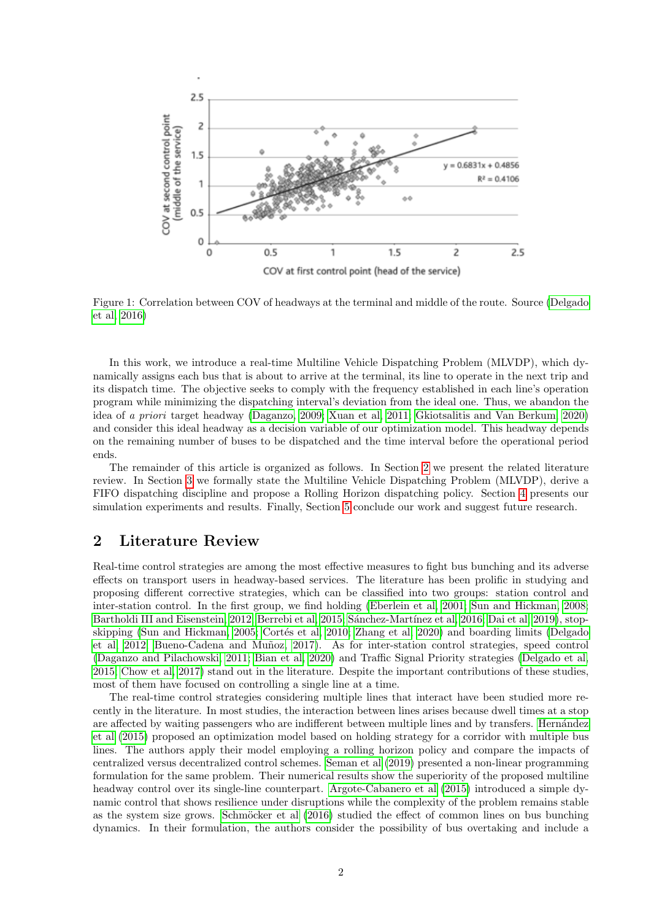<span id="page-1-0"></span>

Figure 1: Correlation between COV of headways at the terminal and middle of the route. Source [\(Delgado](#page-12-4) [et al, 2016\)](#page-12-4)

In this work, we introduce a real-time Multiline Vehicle Dispatching Problem (MLVDP), which dynamically assigns each bus that is about to arrive at the terminal, its line to operate in the next trip and its dispatch time. The objective seeks to comply with the frequency established in each line's operation program while minimizing the dispatching interval's deviation from the ideal one. Thus, we abandon the idea of a priori target headway [\(Daganzo, 2009;](#page-12-2) [Xuan et al, 2011;](#page-13-2) [Gkiotsalitis and Van Berkum, 2020\)](#page-12-5) and consider this ideal headway as a decision variable of our optimization model. This headway depends on the remaining number of buses to be dispatched and the time interval before the operational period ends.

The remainder of this article is organized as follows. In Section [2](#page-1-1) we present the related literature review. In Section [3](#page-2-0) we formally state the Multiline Vehicle Dispatching Problem (MLVDP), derive a FIFO dispatching discipline and propose a Rolling Horizon dispatching policy. Section [4](#page-6-0) presents our simulation experiments and results. Finally, Section [5](#page-11-0) conclude our work and suggest future research.

## <span id="page-1-1"></span>2 Literature Review

Real-time control strategies are among the most effective measures to fight bus bunching and its adverse effects on transport users in headway-based services. The literature has been prolific in studying and proposing different corrective strategies, which can be classified into two groups: station control and inter-station control. In the first group, we find holding [\(Eberlein et al, 2001;](#page-12-6) [Sun and Hickman, 2008;](#page-13-3) [Bartholdi III and Eisenstein, 2012;](#page-12-7) [Berrebi et al, 2015;](#page-12-3) Sánchez-Martínez et al, 2016; [Dai et al, 2019\)](#page-12-8), stop-skipping [\(Sun and Hickman, 2005;](#page-13-5) Cortés et al, 2010; [Zhang et al, 2020\)](#page-13-6) and boarding limits [\(Delgado](#page-12-10) [et al, 2012;](#page-12-10) Bueno-Cadena and Muñoz, 2017). As for inter-station control strategies, speed control [\(Daganzo and Pilachowski, 2011;](#page-12-12) [Bian et al, 2020\)](#page-12-13) and Traffic Signal Priority strategies [\(Delgado et al,](#page-12-14) [2015;](#page-12-14) [Chow et al, 2017\)](#page-12-15) stand out in the literature. Despite the important contributions of these studies, most of them have focused on controlling a single line at a time.

The real-time control strategies considering multiple lines that interact have been studied more recently in the literature. In most studies, the interaction between lines arises because dwell times at a stop are affected by waiting passengers who are indifferent between multiple lines and by transfers. Hernández [et al](#page-12-16) [\(2015\)](#page-12-16) proposed an optimization model based on holding strategy for a corridor with multiple bus lines. The authors apply their model employing a rolling horizon policy and compare the impacts of centralized versus decentralized control schemes. [Seman et al](#page-13-7) [\(2019\)](#page-13-7) presented a non-linear programming formulation for the same problem. Their numerical results show the superiority of the proposed multiline headway control over its single-line counterpart. [Argote-Cabanero et al](#page-12-17) [\(2015\)](#page-12-17) introduced a simple dynamic control that shows resilience under disruptions while the complexity of the problem remains stable as the system size grows. Schmöcker et al  $(2016)$  studied the effect of common lines on bus bunching dynamics. In their formulation, the authors consider the possibility of bus overtaking and include a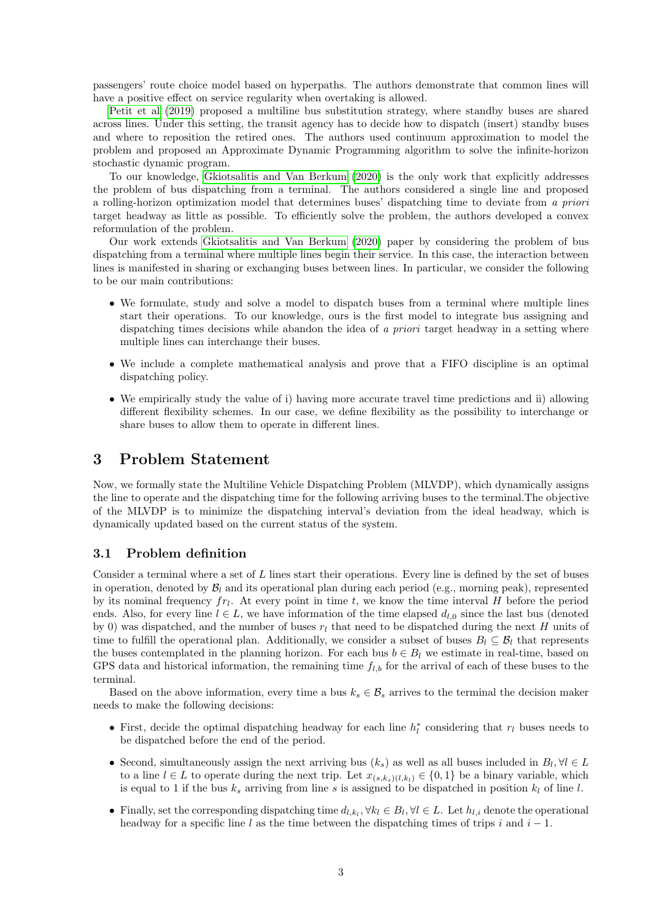passengers' route choice model based on hyperpaths. The authors demonstrate that common lines will have a positive effect on service regularity when overtaking is allowed.

[Petit et al](#page-13-9) [\(2019\)](#page-13-9) proposed a multiline bus substitution strategy, where standby buses are shared across lines. Under this setting, the transit agency has to decide how to dispatch (insert) standby buses and where to reposition the retired ones. The authors used continuum approximation to model the problem and proposed an Approximate Dynamic Programming algorithm to solve the infinite-horizon stochastic dynamic program.

To our knowledge, [Gkiotsalitis and Van Berkum](#page-12-5) [\(2020\)](#page-12-5) is the only work that explicitly addresses the problem of bus dispatching from a terminal. The authors considered a single line and proposed a rolling-horizon optimization model that determines buses' dispatching time to deviate from a priori target headway as little as possible. To efficiently solve the problem, the authors developed a convex reformulation of the problem.

Our work extends [Gkiotsalitis and Van Berkum](#page-12-5) [\(2020\)](#page-12-5) paper by considering the problem of bus dispatching from a terminal where multiple lines begin their service. In this case, the interaction between lines is manifested in sharing or exchanging buses between lines. In particular, we consider the following to be our main contributions:

- We formulate, study and solve a model to dispatch buses from a terminal where multiple lines start their operations. To our knowledge, ours is the first model to integrate bus assigning and dispatching times decisions while abandon the idea of a priori target headway in a setting where multiple lines can interchange their buses.
- We include a complete mathematical analysis and prove that a FIFO discipline is an optimal dispatching policy.
- We empirically study the value of i) having more accurate travel time predictions and ii) allowing different flexibility schemes. In our case, we define flexibility as the possibility to interchange or share buses to allow them to operate in different lines.

# <span id="page-2-0"></span>3 Problem Statement

Now, we formally state the Multiline Vehicle Dispatching Problem (MLVDP), which dynamically assigns the line to operate and the dispatching time for the following arriving buses to the terminal.The objective of the MLVDP is to minimize the dispatching interval's deviation from the ideal headway, which is dynamically updated based on the current status of the system.

### 3.1 Problem definition

Consider a terminal where a set of  $L$  lines start their operations. Every line is defined by the set of buses in operation, denoted by  $\mathcal{B}_l$  and its operational plan during each period (e.g., morning peak), represented by its nominal frequency  $fr_l$ . At every point in time t, we know the time interval H before the period ends. Also, for every line  $l \in L$ , we have information of the time elapsed  $d_{l,0}$  since the last bus (denoted by 0) was dispatched, and the number of buses  $r_l$  that need to be dispatched during the next H units of time to fulfill the operational plan. Additionally, we consider a subset of buses  $B_l \subseteq B_l$  that represents the buses contemplated in the planning horizon. For each bus  $b \in B_l$  we estimate in real-time, based on GPS data and historical information, the remaining time  $f_{l,b}$  for the arrival of each of these buses to the terminal.

Based on the above information, every time a bus  $k_s \in \mathcal{B}_s$  arrives to the terminal the decision maker needs to make the following decisions:

- First, decide the optimal dispatching headway for each line  $h_l^*$  considering that  $r_l$  buses needs to be dispatched before the end of the period.
- Second, simultaneously assign the next arriving bus  $(k_s)$  as well as all buses included in  $B_l$ ,  $\forall l \in L$ to a line  $l \in L$  to operate during the next trip. Let  $x_{(s,k_s)(l,k_l)} \in \{0,1\}$  be a binary variable, which is equal to 1 if the bus  $k_s$  arriving from line s is assigned to be dispatched in position  $k_l$  of line l.
- Finally, set the corresponding dispatching time  $d_{l,k_l}, \forall k_l \in B_l, \forall l \in L$ . Let  $h_{l,i}$  denote the operational headway for a specific line l as the time between the dispatching times of trips i and  $i - 1$ .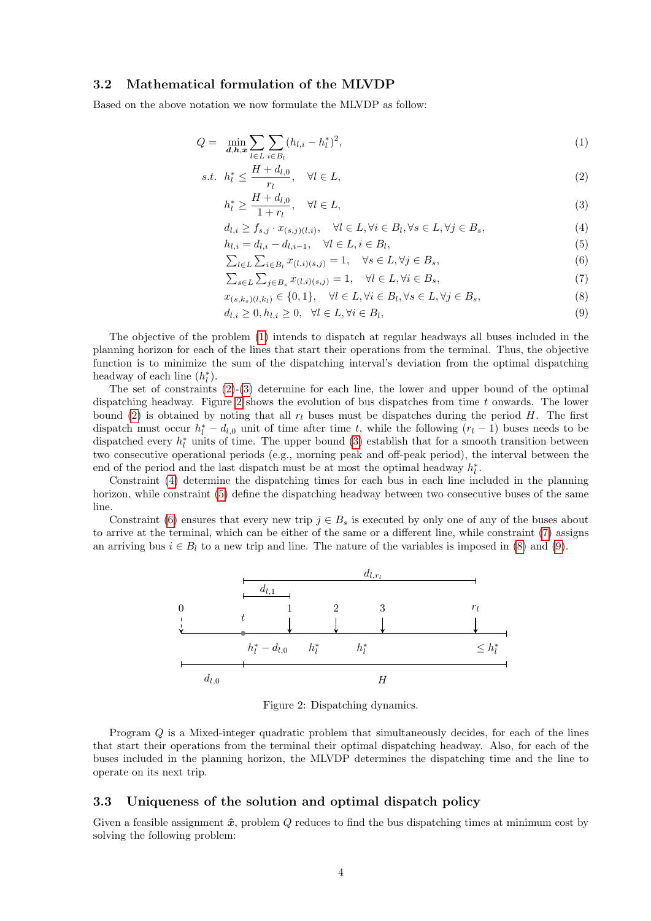### 3.2 Mathematical formulation of the MLVDP

Based on the above notation we now formulate the MLVDP as follow:

$$
Q = \min_{\mathbf{d},\mathbf{h},\mathbf{x}} \sum_{l \in L} \sum_{i \in B_l} (h_{l,i} - h_l^*)^2,
$$
\n(1)

$$
s.t. \t h_l^* \le \frac{H + d_{l,0}}{r_l}, \quad \forall l \in L,
$$
\t(2)

<span id="page-3-2"></span><span id="page-3-1"></span><span id="page-3-0"></span>
$$
h_l^* \ge \frac{H + d_{l,0}}{1 + r_l}, \quad \forall l \in L,\tag{3}
$$

<span id="page-3-4"></span>
$$
d_{l,i} \ge f_{s,j} \cdot x_{(s,j)(l,i)}, \quad \forall l \in L, \forall i \in B_l, \forall s \in L, \forall j \in B_s,
$$
\n
$$
(4)
$$

$$
h_{l,i} = d_{l,i} - d_{l,i-1}, \quad \forall l \in L, i \in B_l,
$$
  

$$
\sum_{l \in L} \sum_{i \in R,} x_{(l,i)(s,i)} = 1, \quad \forall s \in L, \forall j \in B_s,
$$
  
(6)

<span id="page-3-9"></span><span id="page-3-8"></span><span id="page-3-7"></span><span id="page-3-6"></span><span id="page-3-5"></span>
$$
\sum_{l \in L} \sum_{i \in B_l} x_{(l,i)(s,j)} = 1, \quad \forall s \in L, \forall j \in B_s,
$$
  

$$
\sum_{s \in L} \sum_{j \in B_s} x_{(l,i)(s,j)} = 1, \quad \forall l \in L, \forall i \in B_s,
$$
  
(7)

$$
x_{(s,k_s)(l,k_l)} \in \{0,1\}, \quad \forall l \in L, \forall i \in B_l, \forall s \in L, \forall j \in B_s,\tag{8}
$$

$$
d_{l,i} \ge 0, h_{l,i} \ge 0, \quad \forall l \in L, \forall i \in B_l,
$$
\n
$$
(9)
$$

The objective of the problem [\(1\)](#page-3-0) intends to dispatch at regular headways all buses included in the planning horizon for each of the lines that start their operations from the terminal. Thus, the objective function is to minimize the sum of the dispatching interval's deviation from the optimal dispatching headway of each line  $(h_l^*).$ 

The set of constraints [\(2\)](#page-3-1)-[\(3\)](#page-3-2) determine for each line, the lower and upper bound of the optimal dispatching headway. Figure [2](#page-3-3) shows the evolution of bus dispatches from time t onwards. The lower bound [\(2\)](#page-3-1) is obtained by noting that all  $r_l$  buses must be dispatches during the period H. The first dispatch must occur  $h_l^* - d_{l,0}$  unit of time after time t, while the following  $(r_l - 1)$  buses needs to be dispatched every  $h_l^*$  units of time. The upper bound [\(3\)](#page-3-2) establish that for a smooth transition between two consecutive operational periods (e.g., morning peak and off-peak period), the interval between the end of the period and the last dispatch must be at most the optimal headway  $h_l^*$ .

Constraint [\(4\)](#page-3-4) determine the dispatching times for each bus in each line included in the planning horizon, while constraint [\(5\)](#page-3-5) define the dispatching headway between two consecutive buses of the same line.

<span id="page-3-3"></span>Constraint [\(6\)](#page-3-6) ensures that every new trip  $j \in B_s$  is executed by only one of any of the buses about to arrive at the terminal, which can be either of the same or a different line, while constraint [\(7\)](#page-3-7) assigns an arriving bus  $i \in B_l$  to a new trip and line. The nature of the variables is imposed in [\(8\)](#page-3-8) and [\(9\)](#page-3-9).



Figure 2: Dispatching dynamics.

Program Q is a Mixed-integer quadratic problem that simultaneously decides, for each of the lines that start their operations from the terminal their optimal dispatching headway. Also, for each of the buses included in the planning horizon, the MLVDP determines the dispatching time and the line to operate on its next trip.

### 3.3 Uniqueness of the solution and optimal dispatch policy

Given a feasible assignment  $\hat{x}$ , problem Q reduces to find the bus dispatching times at minimum cost by solving the following problem: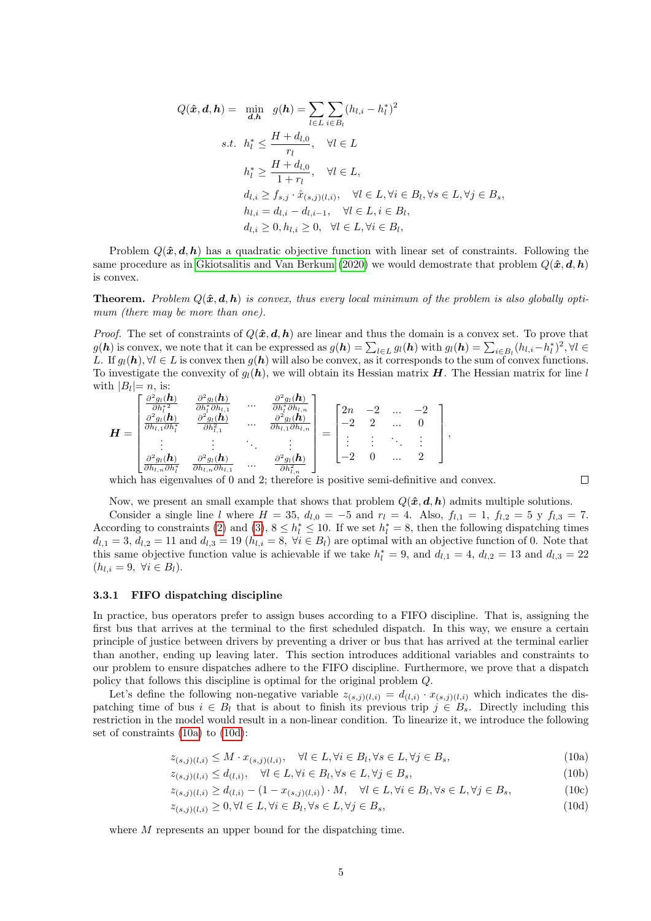$$
Q(\hat{\boldsymbol{x}}, \boldsymbol{d}, \boldsymbol{h}) = \min_{\boldsymbol{d}, \boldsymbol{h}} g(\boldsymbol{h}) = \sum_{l \in L} \sum_{i \in B_l} (h_{l,i} - h_l^*)^2
$$
  
s.t.  $h_l^* \le \frac{H + d_{l,0}}{r_l}, \quad \forall l \in L$   
 $h_l^* \ge \frac{H + d_{l,0}}{1 + r_l}, \quad \forall l \in L,$   
 $d_{l,i} \ge f_{s,j} \cdot \hat{x}_{(s,j)(l,i)}, \quad \forall l \in L, \forall i \in B_l, \forall s \in L, \forall j \in B_s,$   
 $h_{l,i} = d_{l,i} - d_{l,i-1}, \quad \forall l \in L, i \in B_l,$   
 $d_{l,i} \ge 0, h_{l,i} \ge 0, \quad \forall l \in L, \forall i \in B_l,$ 

Problem  $Q(\hat{x}, d, h)$  has a quadratic objective function with linear set of constraints. Following the same procedure as in [Gkiotsalitis and Van Berkum](#page-12-5) [\(2020\)](#page-12-5) we would demostrate that problem  $Q(\hat{x}, d, h)$ is convex.

**Theorem.** Problem  $Q(\hat{x}, d, h)$  is convex, thus every local minimum of the problem is also globally optimum (there may be more than one).

*Proof.* The set of constraints of  $Q(\hat{x}, d, h)$  are linear and thus the domain is a convex set. To prove that  $g(\mathbf{h})$  is convex, we note that it can be expressed as  $g(\mathbf{h}) = \sum_{l \in L} g_l(\mathbf{h})$  with  $g_l(\mathbf{h}) = \sum_{i \in B_l} (h_{l,i} - h_l^*)^2$ ,  $\forall l \in L$ L. If  $g_l(h), \forall l \in L$  is convex then  $g(h)$  will also be convex, as it corresponds to the sum of convex functions. To investigate the convexity of  $q_l(h)$ , we will obtain its Hessian matrix H. The Hessian matrix for line l with  $|B_l|=n$ , is:

$$
\boldsymbol{H} = \begin{bmatrix} \frac{\partial^2 g_l(\boldsymbol{h})}{\partial h_l^{*2}} & \frac{\partial^2 g_l(\boldsymbol{h})}{\partial h_l^{*} \partial h_{l,1}} & \cdots & \frac{\partial^2 g_l(\boldsymbol{h})}{\partial h_l^{*} \partial h_{l,n}} \\ \frac{\partial^2 g_l(\boldsymbol{h})}{\partial h_{l,1} \partial h_l^{*}} & \frac{\partial^2 g_l(\boldsymbol{h})}{\partial h_{l,1}^{2}} & \cdots & \frac{\partial^2 g_l(\boldsymbol{h})}{\partial h_{l,1} \partial h_{l,n}} \\ \vdots & \vdots & \ddots & \vdots \\ \frac{\partial^2 g_l(\boldsymbol{h})}{\partial h_{l,n} \partial h_l^{*}} & \frac{\partial^2 g_l(\boldsymbol{h})}{\partial h_{l,n} \partial h_{l,1}} & \cdots & \frac{\partial^2 g_l(\boldsymbol{h})}{\partial h_{l,n}^{2}} \end{bmatrix} = \begin{bmatrix} 2n & -2 & \cdots & -2 \\ -2 & 2 & \cdots & 0 \\ \vdots & \vdots & \ddots & \vdots \\ -2 & 0 & \cdots & 2 \end{bmatrix},
$$

which has eigenvalues of 0 and 2; therefore is positive semi-definitive and convex.

<span id="page-4-1"></span><span id="page-4-0"></span> $\Box$ 

Now, we present an small example that shows that problem  $Q(\hat{x}, d, h)$  admits multiple solutions.

Consider a single line l where  $H = 35$ ,  $d_{l,0} = -5$  and  $r_l = 4$ . Also,  $f_{l,1} = 1$ ,  $f_{l,2} = 5$  y  $f_{l,3} = 7$ . According to constraints [\(2\)](#page-3-1) and [\(3\)](#page-3-2),  $8 \le h_l^* \le 10$ . If we set  $h_l^* = 8$ , then the following dispatching times  $d_{l,1} = 3$ ,  $d_{l,2} = 11$  and  $d_{l,3} = 19$   $(h_{l,i} = 8, \forall i \in B_l)$  are optimal with an objective function of 0. Note that this same objective function value is achievable if we take  $h_l^* = 9$ , and  $d_{l,1} = 4$ ,  $d_{l,2} = 13$  and  $d_{l,3} = 22$  $(h_{l,i}=9, \forall i \in B_l).$ 

#### 3.3.1 FIFO dispatching discipline

In practice, bus operators prefer to assign buses according to a FIFO discipline. That is, assigning the first bus that arrives at the terminal to the first scheduled dispatch. In this way, we ensure a certain principle of justice between drivers by preventing a driver or bus that has arrived at the terminal earlier than another, ending up leaving later. This section introduces additional variables and constraints to our problem to ensure dispatches adhere to the FIFO discipline. Furthermore, we prove that a dispatch policy that follows this discipline is optimal for the original problem Q.

Let's define the following non-negative variable  $z_{(s,j)(l,i)} = d_{(l,i)} \cdot x_{(s,j)(l,i)}$  which indicates the dispatching time of bus  $i \in B_l$  that is about to finish its previous trip  $j \in B_s$ . Directly including this restriction in the model would result in a non-linear condition. To linearize it, we introduce the following set of constraints [\(10a\)](#page-4-0) to [\(10d\)](#page-4-1):

$$
z_{(s,j)(l,i)} \le M \cdot x_{(s,j)(l,i)}, \quad \forall l \in L, \forall i \in B_l, \forall s \in L, \forall j \in B_s,
$$
\n
$$
(10a)
$$

 $z_{(s,j)(l,i)} \le d_{(l,i)}, \quad \forall l \in L, \forall i \in B_l, \forall s \in L, \forall j \in B_s,$ (10b)

$$
z_{(s,j)(l,i)} \ge d_{(l,i)} - (1 - x_{(s,j)(l,i)}) \cdot M, \quad \forall l \in L, \forall i \in B_l, \forall s \in L, \forall j \in B_s,
$$
\n
$$
(10c)
$$

$$
z_{(s,j)(l,i)} \ge 0, \forall l \in L, \forall i \in B_l, \forall s \in L, \forall j \in B_s,\tag{10d}
$$

where M represents an upper bound for the dispatching time.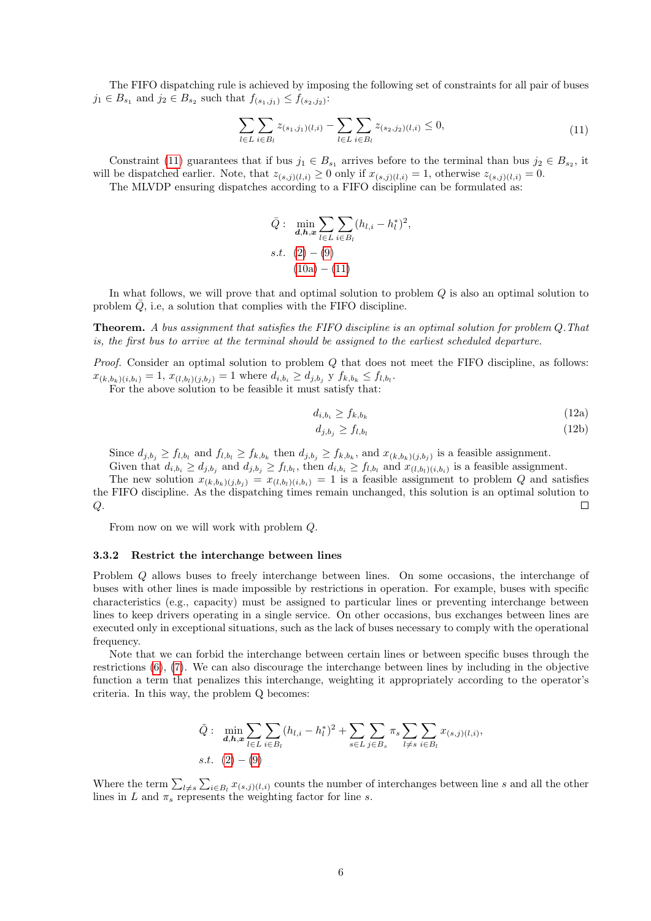The FIFO dispatching rule is achieved by imposing the following set of constraints for all pair of buses  $j_1 \in B_{s_1}$  and  $j_2 \in B_{s_2}$  such that  $f_{(s_1,j_1)} \leq f_{(s_2,j_2)}$ :

$$
\sum_{l \in L} \sum_{i \in B_l} z_{(s_1, j_1)(l, i)} - \sum_{l \in L} \sum_{i \in B_l} z_{(s_2, j_2)(l, i)} \le 0,
$$
\n(11)

<span id="page-5-0"></span>Constraint [\(11\)](#page-5-0) guarantees that if bus  $j_1 \in B_{s_1}$  arrives before to the terminal than bus  $j_2 \in B_{s_2}$ , it will be dispatched earlier. Note, that  $z_{(s,j)(l,i)} \ge 0$  only if  $x_{(s,j)(l,i)} = 1$ , otherwise  $z_{(s,j)(l,i)} = 0$ .

The MLVDP ensuring dispatches according to a FIFO discipline can be formulated as:

$$
\bar{Q}: \min_{\mathbf{d},\mathbf{h},\mathbf{x}} \sum_{l \in L} \sum_{i \in B_l} (h_{l,i} - h_l^*)^2,
$$
  
s.t. (2) - (9)  
(10a) - (11)

In what follows, we will prove that and optimal solution to problem Q is also an optimal solution to problem  $Q$ , i.e, a solution that complies with the FIFO discipline.

**Theorem.** A bus assignment that satisfies the FIFO discipline is an optimal solution for problem  $Q$ . That is, the first bus to arrive at the terminal should be assigned to the earliest scheduled departure.

*Proof.* Consider an optimal solution to problem  $Q$  that does not meet the FIFO discipline, as follows:  $x_{(k,b_k)(i,b_i)} = 1, x_{(l,b_l)(j,b_j)} = 1$  where  $d_{i,b_i} \ge d_{j,b_j}$  y  $f_{k,b_k} \le f_{l,b_l}$ .

For the above solution to be feasible it must satisfy that:

$$
d_{i,b_i} \ge f_{k,b_k} \tag{12a}
$$

$$
d_{j,b_j} \ge f_{l,b_l} \tag{12b}
$$

Since  $d_{j,b_j} \ge f_{l,b_l}$  and  $f_{l,b_l} \ge f_{k,b_k}$  then  $d_{j,b_j} \ge f_{k,b_k}$ , and  $x_{(k,b_k)(j,b_j)}$  is a feasible assignment.

Given that  $d_{i,b_i} \geq d_{j,b_j}$  and  $d_{j,b_j} \geq f_{l,b_l}$ , then  $d_{i,b_i} \geq f_{l,b_l}$  and  $x_{(l,b_l)(i,b_i)}$  is a feasible assignment. The new solution  $x_{(k,b_k)(j,b_j)} = x_{(l,b_l)(i,b_i)} = 1$  is a feasible assignment to problem Q and satisfies

the FIFO discipline. As the dispatching times remain unchanged, this solution is an optimal solution to  $Q$ .  $\Box$ 

From now on we will work with problem Q.

#### 3.3.2 Restrict the interchange between lines

Problem Q allows buses to freely interchange between lines. On some occasions, the interchange of buses with other lines is made impossible by restrictions in operation. For example, buses with specific characteristics (e.g., capacity) must be assigned to particular lines or preventing interchange between lines to keep drivers operating in a single service. On other occasions, bus exchanges between lines are executed only in exceptional situations, such as the lack of buses necessary to comply with the operational frequency.

Note that we can forbid the interchange between certain lines or between specific buses through the restrictions [\(6\)](#page-3-6), [\(7\)](#page-3-7). We can also discourage the interchange between lines by including in the objective function a term that penalizes this interchange, weighting it appropriately according to the operator's criteria. In this way, the problem Q becomes:

$$
\tilde{Q}: \min_{\mathbf{d},\mathbf{h},\mathbf{x}} \sum_{l \in L} \sum_{i \in B_l} (h_{l,i} - h_l^*)^2 + \sum_{s \in L} \sum_{j \in B_s} \pi_s \sum_{l \neq s} \sum_{i \in B_l} x_{(s,j)(l,i)},
$$
  
s.t. (2) – (9)

Where the term  $\sum_{l\neq s}\sum_{i\in B_l}x_{(s,j)(l,i)}$  counts the number of interchanges between line s and all the other lines in L and  $\pi_s$  represents the weighting factor for line s.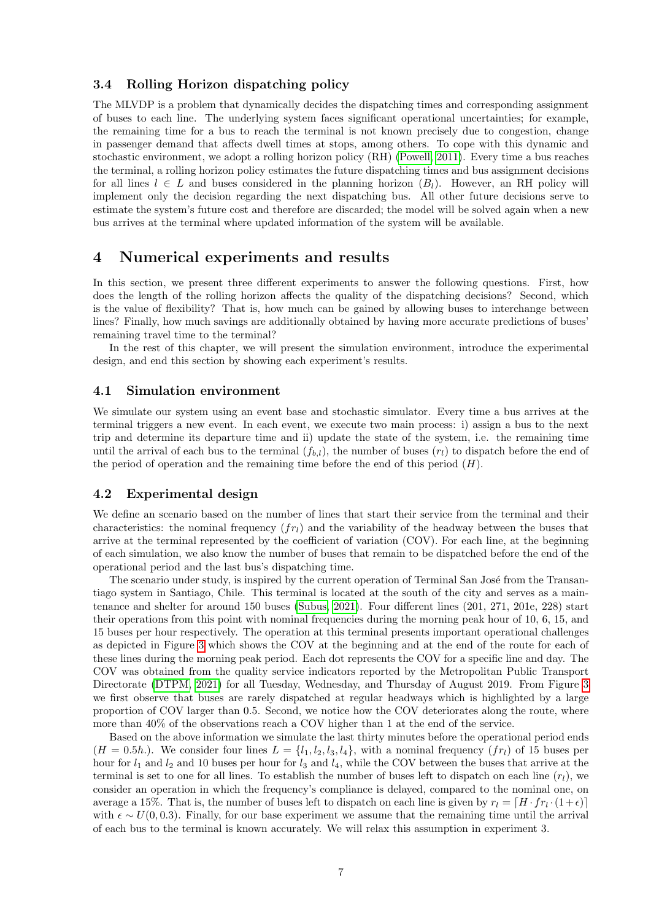### 3.4 Rolling Horizon dispatching policy

The MLVDP is a problem that dynamically decides the dispatching times and corresponding assignment of buses to each line. The underlying system faces significant operational uncertainties; for example, the remaining time for a bus to reach the terminal is not known precisely due to congestion, change in passenger demand that affects dwell times at stops, among others. To cope with this dynamic and stochastic environment, we adopt a rolling horizon policy (RH) [\(Powell, 2011\)](#page-13-10). Every time a bus reaches the terminal, a rolling horizon policy estimates the future dispatching times and bus assignment decisions for all lines  $l \in L$  and buses considered in the planning horizon  $(B_l)$ . However, an RH policy will implement only the decision regarding the next dispatching bus. All other future decisions serve to estimate the system's future cost and therefore are discarded; the model will be solved again when a new bus arrives at the terminal where updated information of the system will be available.

# <span id="page-6-0"></span>4 Numerical experiments and results

In this section, we present three different experiments to answer the following questions. First, how does the length of the rolling horizon affects the quality of the dispatching decisions? Second, which is the value of flexibility? That is, how much can be gained by allowing buses to interchange between lines? Finally, how much savings are additionally obtained by having more accurate predictions of buses' remaining travel time to the terminal?

In the rest of this chapter, we will present the simulation environment, introduce the experimental design, and end this section by showing each experiment's results.

### 4.1 Simulation environment

We simulate our system using an event base and stochastic simulator. Every time a bus arrives at the terminal triggers a new event. In each event, we execute two main process: i) assign a bus to the next trip and determine its departure time and ii) update the state of the system, i.e. the remaining time until the arrival of each bus to the terminal  $(f_{b,l})$ , the number of buses  $(r_l)$  to dispatch before the end of the period of operation and the remaining time before the end of this period  $(H)$ .

### 4.2 Experimental design

We define an scenario based on the number of lines that start their service from the terminal and their characteristics: the nominal frequency  $(f_{rl})$  and the variability of the headway between the buses that arrive at the terminal represented by the coefficient of variation (COV). For each line, at the beginning of each simulation, we also know the number of buses that remain to be dispatched before the end of the operational period and the last bus's dispatching time.

The scenario under study, is inspired by the current operation of Terminal San José from the Transantiago system in Santiago, Chile. This terminal is located at the south of the city and serves as a maintenance and shelter for around 150 buses [\(Subus, 2021\)](#page-13-11). Four different lines (201, 271, 201e, 228) start their operations from this point with nominal frequencies during the morning peak hour of 10, 6, 15, and 15 buses per hour respectively. The operation at this terminal presents important operational challenges as depicted in Figure [3](#page-7-0) which shows the COV at the beginning and at the end of the route for each of these lines during the morning peak period. Each dot represents the COV for a specific line and day. The COV was obtained from the quality service indicators reported by the Metropolitan Public Transport Directorate [\(DTPM, 2021\)](#page-12-18) for all Tuesday, Wednesday, and Thursday of August 2019. From Figure [3](#page-7-0) we first observe that buses are rarely dispatched at regular headways which is highlighted by a large proportion of COV larger than 0.5. Second, we notice how the COV deteriorates along the route, where more than 40% of the observations reach a COV higher than 1 at the end of the service.

Based on the above information we simulate the last thirty minutes before the operational period ends  $(H = 0.5h)$ . We consider four lines  $L = \{l_1, l_2, l_3, l_4\}$ , with a nominal frequency  $(fr_l)$  of 15 buses per hour for  $l_1$  and  $l_2$  and 10 buses per hour for  $l_3$  and  $l_4$ , while the COV between the buses that arrive at the terminal is set to one for all lines. To establish the number of buses left to dispatch on each line  $(r_l)$ , we consider an operation in which the frequency's compliance is delayed, compared to the nominal one, on average a 15%. That is, the number of buses left to dispatch on each line is given by  $r_l = [H \cdot fr_l \cdot (1+\epsilon)]$ with  $\epsilon \sim U(0, 0.3)$ . Finally, for our base experiment we assume that the remaining time until the arrival of each bus to the terminal is known accurately. We will relax this assumption in experiment 3.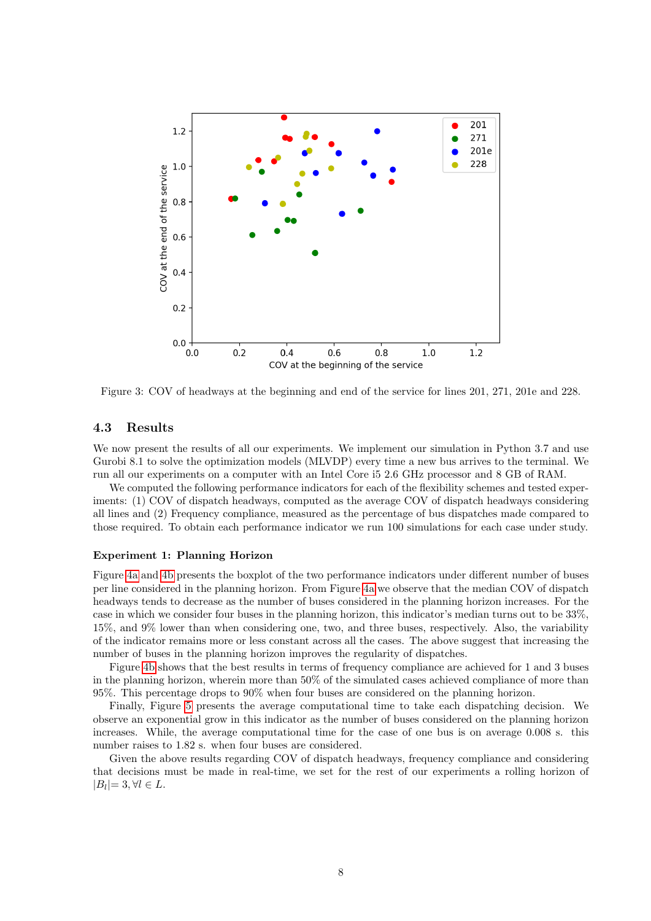<span id="page-7-0"></span>

Figure 3: COV of headways at the beginning and end of the service for lines 201, 271, 201e and 228.

### 4.3 Results

We now present the results of all our experiments. We implement our simulation in Python 3.7 and use Gurobi 8.1 to solve the optimization models (MLVDP) every time a new bus arrives to the terminal. We run all our experiments on a computer with an Intel Core i5 2.6 GHz processor and 8 GB of RAM.

We computed the following performance indicators for each of the flexibility schemes and tested experiments: (1) COV of dispatch headways, computed as the average COV of dispatch headways considering all lines and (2) Frequency compliance, measured as the percentage of bus dispatches made compared to those required. To obtain each performance indicator we run 100 simulations for each case under study.

### Experiment 1: Planning Horizon

Figure [4a](#page-8-0) and [4b](#page-8-0) presents the boxplot of the two performance indicators under different number of buses per line considered in the planning horizon. From Figure [4a](#page-8-0) we observe that the median COV of dispatch headways tends to decrease as the number of buses considered in the planning horizon increases. For the case in which we consider four buses in the planning horizon, this indicator's median turns out to be 33%, 15%, and 9% lower than when considering one, two, and three buses, respectively. Also, the variability of the indicator remains more or less constant across all the cases. The above suggest that increasing the number of buses in the planning horizon improves the regularity of dispatches.

Figure [4b](#page-8-0) shows that the best results in terms of frequency compliance are achieved for 1 and 3 buses in the planning horizon, wherein more than 50% of the simulated cases achieved compliance of more than 95%. This percentage drops to 90% when four buses are considered on the planning horizon.

Finally, Figure [5](#page-8-1) presents the average computational time to take each dispatching decision. We observe an exponential grow in this indicator as the number of buses considered on the planning horizon increases. While, the average computational time for the case of one bus is on average 0.008 s. this number raises to 1.82 s. when four buses are considered.

Given the above results regarding COV of dispatch headways, frequency compliance and considering that decisions must be made in real-time, we set for the rest of our experiments a rolling horizon of  $|B_l|=3, \forall l \in L.$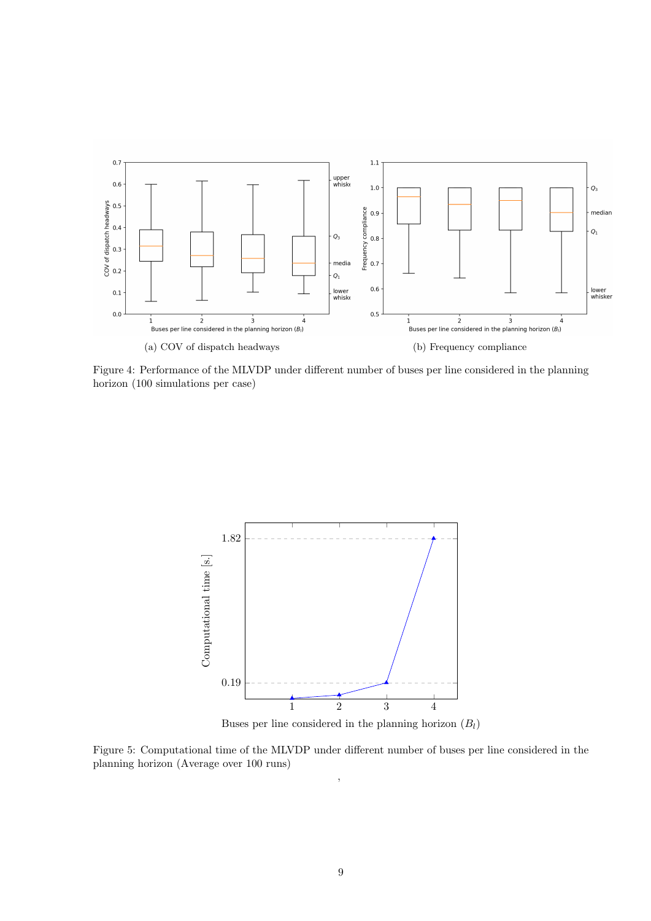<span id="page-8-0"></span>

Figure 4: Performance of the MLVDP under different number of buses per line considered in the planning horizon (100 simulations per case)

<span id="page-8-1"></span>

Buses per line considered in the planning horizon  $(B_l)$ 

Figure 5: Computational time of the MLVDP under different number of buses per line considered in the planning horizon (Average over 100 runs) ,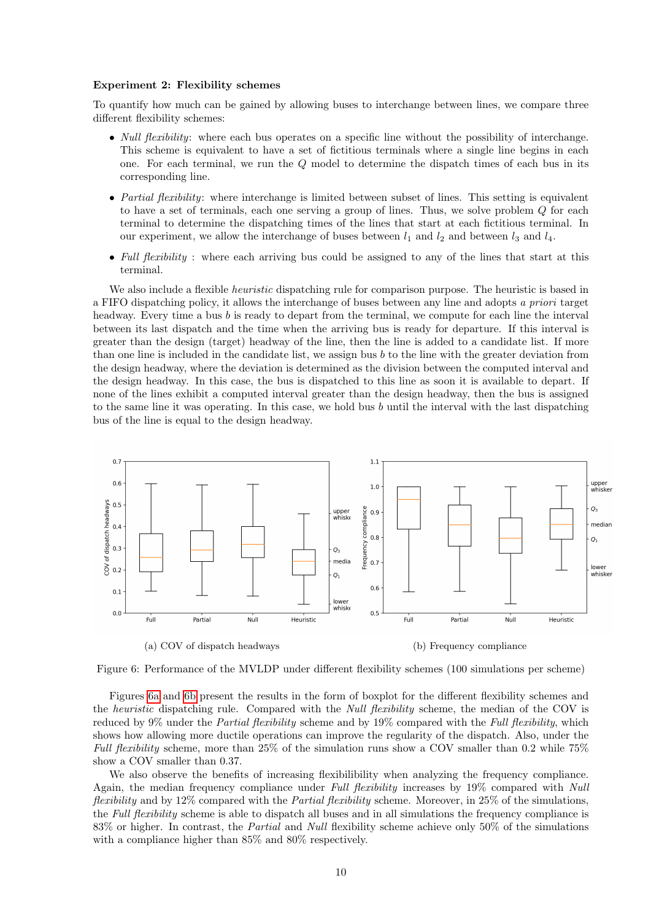#### Experiment 2: Flexibility schemes

To quantify how much can be gained by allowing buses to interchange between lines, we compare three different flexibility schemes:

- *Null flexibility*: where each bus operates on a specific line without the possibility of interchange. This scheme is equivalent to have a set of fictitious terminals where a single line begins in each one. For each terminal, we run the Q model to determine the dispatch times of each bus in its corresponding line.
- Partial flexibility: where interchange is limited between subset of lines. This setting is equivalent to have a set of terminals, each one serving a group of lines. Thus, we solve problem Q for each terminal to determine the dispatching times of the lines that start at each fictitious terminal. In our experiment, we allow the interchange of buses between  $l_1$  and  $l_2$  and between  $l_3$  and  $l_4$ .
- Full flexibility : where each arriving bus could be assigned to any of the lines that start at this terminal.

We also include a flexible *heuristic* dispatching rule for comparison purpose. The heuristic is based in a FIFO dispatching policy, it allows the interchange of buses between any line and adopts a priori target headway. Every time a bus b is ready to depart from the terminal, we compute for each line the interval between its last dispatch and the time when the arriving bus is ready for departure. If this interval is greater than the design (target) headway of the line, then the line is added to a candidate list. If more than one line is included in the candidate list, we assign bus  $b$  to the line with the greater deviation from the design headway, where the deviation is determined as the division between the computed interval and the design headway. In this case, the bus is dispatched to this line as soon it is available to depart. If none of the lines exhibit a computed interval greater than the design headway, then the bus is assigned to the same line it was operating. In this case, we hold bus  $b$  until the interval with the last dispatching bus of the line is equal to the design headway.

<span id="page-9-0"></span>



Figures [6a](#page-9-0) and [6b](#page-9-0) present the results in the form of boxplot for the different flexibility schemes and the *heuristic* dispatching rule. Compared with the *Null flexibility* scheme, the median of the COV is reduced by 9% under the *Partial flexibility* scheme and by 19% compared with the *Full flexibility*, which shows how allowing more ductile operations can improve the regularity of the dispatch. Also, under the Full flexibility scheme, more than  $25\%$  of the simulation runs show a COV smaller than 0.2 while 75% show a COV smaller than 0.37.

We also observe the benefits of increasing flexibilibility when analyzing the frequency compliance. Again, the median frequency compliance under Full flexibility increases by 19% compared with Null flexibility and by 12% compared with the *Partial flexibility* scheme. Moreover, in 25% of the simulations, the Full flexibility scheme is able to dispatch all buses and in all simulations the frequency compliance is 83% or higher. In contrast, the Partial and Null flexibility scheme achieve only 50% of the simulations with a compliance higher than 85% and 80% respectively.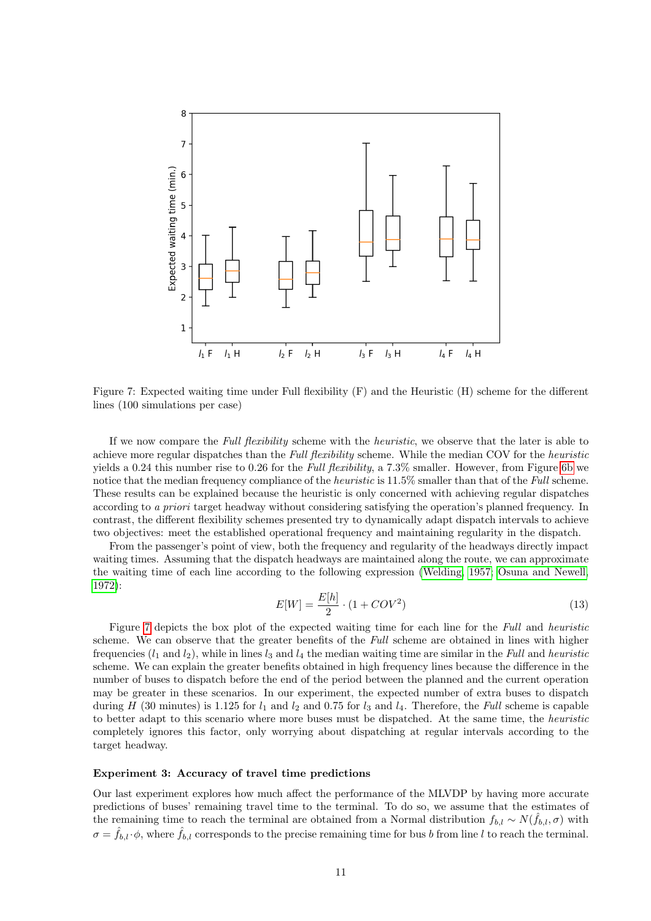<span id="page-10-0"></span>

Figure 7: Expected waiting time under Full flexibility  $(F)$  and the Heuristic  $(H)$  scheme for the different lines (100 simulations per case)

If we now compare the Full flexibility scheme with the heuristic, we observe that the later is able to achieve more regular dispatches than the Full flexibility scheme. While the median COV for the heuristic yields a 0.24 this number rise to 0.26 for the Full flexibility, a 7.3% smaller. However, from Figure [6b](#page-9-0) we notice that the median frequency compliance of the *heuristic* is 11.5% smaller than that of the Full scheme. These results can be explained because the heuristic is only concerned with achieving regular dispatches according to a priori target headway without considering satisfying the operation's planned frequency. In contrast, the different flexibility schemes presented try to dynamically adapt dispatch intervals to achieve two objectives: meet the established operational frequency and maintaining regularity in the dispatch.

From the passenger's point of view, both the frequency and regularity of the headways directly impact waiting times. Assuming that the dispatch headways are maintained along the route, we can approximate the waiting time of each line according to the following expression [\(Welding, 1957;](#page-13-12) [Osuna and Newell,](#page-13-13) [1972\)](#page-13-13):

$$
E[W] = \frac{E[h]}{2} \cdot (1 + COV^2)
$$
\n(13)

Figure [7](#page-10-0) depicts the box plot of the expected waiting time for each line for the Full and heuristic scheme. We can observe that the greater benefits of the Full scheme are obtained in lines with higher frequencies  $(l_1 \text{ and } l_2)$ , while in lines  $l_3$  and  $l_4$  the median waiting time are similar in the Full and heuristic scheme. We can explain the greater benefits obtained in high frequency lines because the difference in the number of buses to dispatch before the end of the period between the planned and the current operation may be greater in these scenarios. In our experiment, the expected number of extra buses to dispatch during H (30 minutes) is 1.125 for  $l_1$  and  $l_2$  and 0.75 for  $l_3$  and  $l_4$ . Therefore, the Full scheme is capable to better adapt to this scenario where more buses must be dispatched. At the same time, the heuristic completely ignores this factor, only worrying about dispatching at regular intervals according to the target headway.

### Experiment 3: Accuracy of travel time predictions

Our last experiment explores how much affect the performance of the MLVDP by having more accurate predictions of buses' remaining travel time to the terminal. To do so, we assume that the estimates of the remaining time to reach the terminal are obtained from a Normal distribution  $f_{b,l} \sim N(\hat{f}_{b,l}, \sigma)$  with  $\sigma = \hat{f}_{b,l} \cdot \phi$ , where  $\hat{f}_{b,l}$  corresponds to the precise remaining time for bus b from line l to reach the terminal.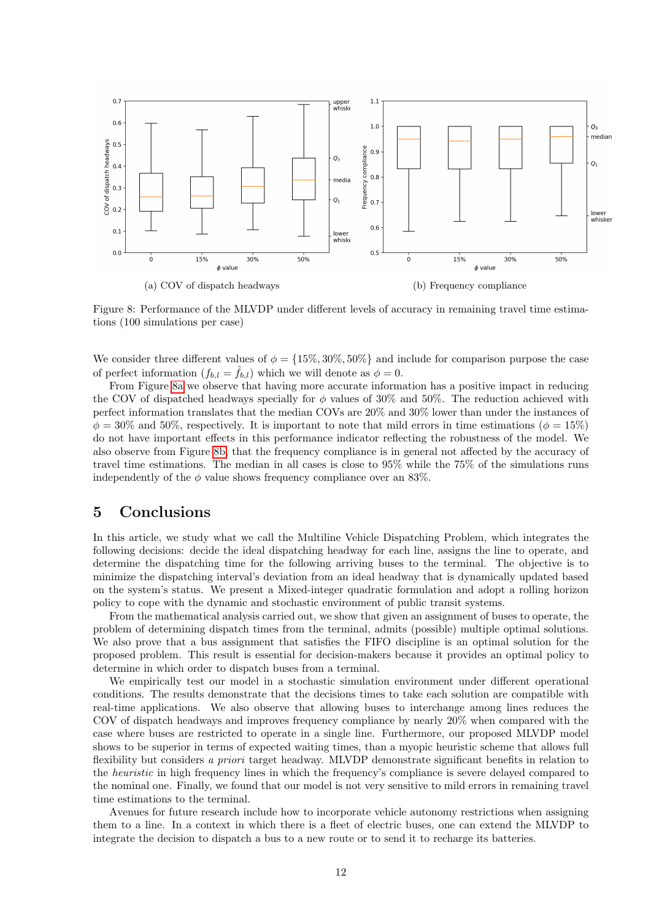<span id="page-11-1"></span>

Figure 8: Performance of the MLVDP under different levels of accuracy in remaining travel time estimations (100 simulations per case)

We consider three different values of  $\phi = \{15\%, 30\%, 50\%\}\$  and include for comparison purpose the case of perfect information  $(f_{b,l} = \hat{f}_{b,l})$  which we will denote as  $\phi = 0$ .

From Figure [8a](#page-11-1) we observe that having more accurate information has a positive impact in reducing the COV of dispatched headways specially for  $\phi$  values of 30% and 50%. The reduction achieved with perfect information translates that the median COVs are 20% and 30% lower than under the instances of  $\phi = 30\%$  and 50%, respectively. It is important to note that mild errors in time estimations ( $\phi = 15\%$ ) do not have important effects in this performance indicator reflecting the robustness of the model. We also observe from Figure [8b,](#page-11-1) that the frequency compliance is in general not affected by the accuracy of travel time estimations. The median in all cases is close to 95% while the 75% of the simulations runs independently of the  $\phi$  value shows frequency compliance over an 83%.

## <span id="page-11-0"></span>5 Conclusions

In this article, we study what we call the Multiline Vehicle Dispatching Problem, which integrates the following decisions: decide the ideal dispatching headway for each line, assigns the line to operate, and determine the dispatching time for the following arriving buses to the terminal. The objective is to minimize the dispatching interval's deviation from an ideal headway that is dynamically updated based on the system's status. We present a Mixed-integer quadratic formulation and adopt a rolling horizon policy to cope with the dynamic and stochastic environment of public transit systems.

From the mathematical analysis carried out, we show that given an assignment of buses to operate, the problem of determining dispatch times from the terminal, admits (possible) multiple optimal solutions. We also prove that a bus assignment that satisfies the FIFO discipline is an optimal solution for the proposed problem. This result is essential for decision-makers because it provides an optimal policy to determine in which order to dispatch buses from a terminal.

We empirically test our model in a stochastic simulation environment under different operational conditions. The results demonstrate that the decisions times to take each solution are compatible with real-time applications. We also observe that allowing buses to interchange among lines reduces the COV of dispatch headways and improves frequency compliance by nearly 20% when compared with the case where buses are restricted to operate in a single line. Furthermore, our proposed MLVDP model shows to be superior in terms of expected waiting times, than a myopic heuristic scheme that allows full flexibility but considers a priori target headway. MLVDP demonstrate significant benefits in relation to the heuristic in high frequency lines in which the frequency's compliance is severe delayed compared to the nominal one. Finally, we found that our model is not very sensitive to mild errors in remaining travel time estimations to the terminal.

Avenues for future research include how to incorporate vehicle autonomy restrictions when assigning them to a line. In a context in which there is a fleet of electric buses, one can extend the MLVDP to integrate the decision to dispatch a bus to a new route or to send it to recharge its batteries.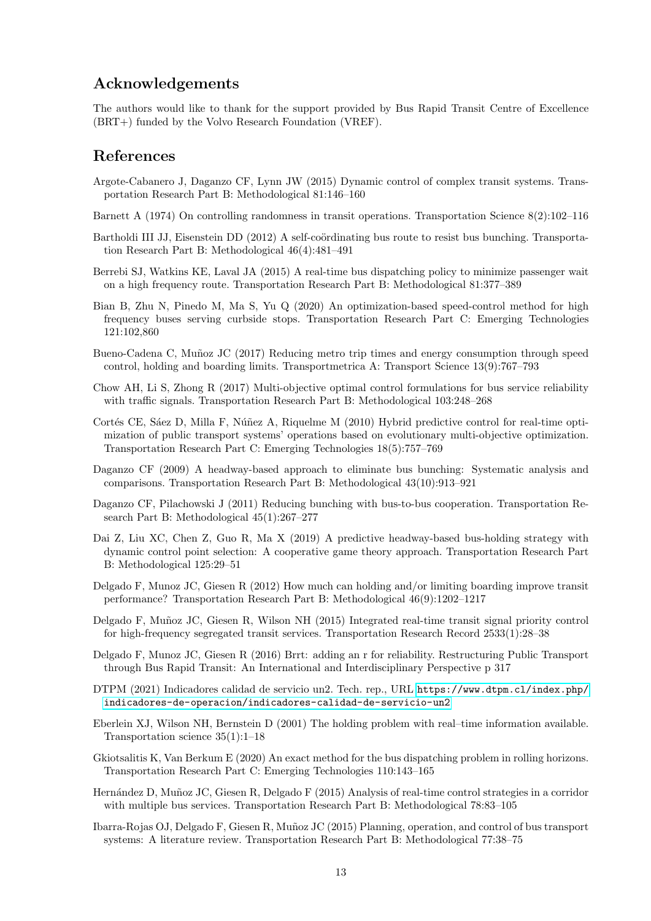# Acknowledgements

The authors would like to thank for the support provided by Bus Rapid Transit Centre of Excellence (BRT+) funded by the Volvo Research Foundation (VREF).

### References

- <span id="page-12-17"></span>Argote-Cabanero J, Daganzo CF, Lynn JW (2015) Dynamic control of complex transit systems. Transportation Research Part B: Methodological 81:146–160
- <span id="page-12-1"></span>Barnett A (1974) On controlling randomness in transit operations. Transportation Science 8(2):102–116
- <span id="page-12-7"></span>Bartholdi III JJ, Eisenstein DD (2012) A self-coördinating bus route to resist bus bunching. Transportation Research Part B: Methodological 46(4):481–491
- <span id="page-12-3"></span>Berrebi SJ, Watkins KE, Laval JA (2015) A real-time bus dispatching policy to minimize passenger wait on a high frequency route. Transportation Research Part B: Methodological 81:377–389
- <span id="page-12-13"></span>Bian B, Zhu N, Pinedo M, Ma S, Yu Q (2020) An optimization-based speed-control method for high frequency buses serving curbside stops. Transportation Research Part C: Emerging Technologies 121:102,860
- <span id="page-12-11"></span>Bueno-Cadena C, Muñoz JC (2017) Reducing metro trip times and energy consumption through speed control, holding and boarding limits. Transportmetrica A: Transport Science 13(9):767–793
- <span id="page-12-15"></span>Chow AH, Li S, Zhong R (2017) Multi-objective optimal control formulations for bus service reliability with traffic signals. Transportation Research Part B: Methodological 103:248–268
- <span id="page-12-9"></span>Cortés CE, Sáez D, Milla F, Núñez A, Riquelme M (2010) Hybrid predictive control for real-time optimization of public transport systems' operations based on evolutionary multi-objective optimization. Transportation Research Part C: Emerging Technologies 18(5):757–769
- <span id="page-12-2"></span>Daganzo CF (2009) A headway-based approach to eliminate bus bunching: Systematic analysis and comparisons. Transportation Research Part B: Methodological 43(10):913–921
- <span id="page-12-12"></span>Daganzo CF, Pilachowski J (2011) Reducing bunching with bus-to-bus cooperation. Transportation Research Part B: Methodological 45(1):267–277
- <span id="page-12-8"></span>Dai Z, Liu XC, Chen Z, Guo R, Ma X (2019) A predictive headway-based bus-holding strategy with dynamic control point selection: A cooperative game theory approach. Transportation Research Part B: Methodological 125:29–51
- <span id="page-12-10"></span>Delgado F, Munoz JC, Giesen R (2012) How much can holding and/or limiting boarding improve transit performance? Transportation Research Part B: Methodological 46(9):1202–1217
- <span id="page-12-14"></span>Delgado F, Muñoz JC, Giesen R, Wilson NH (2015) Integrated real-time transit signal priority control for high-frequency segregated transit services. Transportation Research Record 2533(1):28–38
- <span id="page-12-4"></span>Delgado F, Munoz JC, Giesen R (2016) Brrt: adding an r for reliability. Restructuring Public Transport through Bus Rapid Transit: An International and Interdisciplinary Perspective p 317
- <span id="page-12-18"></span>DTPM (2021) Indicadores calidad de servicio un2. Tech. rep., URL [https://www.dtpm.cl/index.php/](https://www.dtpm.cl/index.php/indicadores-de-operacion/indicadores-calidad-de-servicio-un2) [indicadores-de-operacion/indicadores-calidad-de-servicio-un2](https://www.dtpm.cl/index.php/indicadores-de-operacion/indicadores-calidad-de-servicio-un2)
- <span id="page-12-6"></span>Eberlein XJ, Wilson NH, Bernstein D (2001) The holding problem with real–time information available. Transportation science 35(1):1–18
- <span id="page-12-5"></span>Gkiotsalitis K, Van Berkum E (2020) An exact method for the bus dispatching problem in rolling horizons. Transportation Research Part C: Emerging Technologies 110:143–165
- <span id="page-12-16"></span>Hernández D, Muñoz JC, Giesen R, Delgado F (2015) Analysis of real-time control strategies in a corridor with multiple bus services. Transportation Research Part B: Methodological 78:83–105
- <span id="page-12-0"></span>Ibarra-Rojas OJ, Delgado F, Giesen R, Muñoz JC (2015) Planning, operation, and control of bus transport systems: A literature review. Transportation Research Part B: Methodological 77:38–75